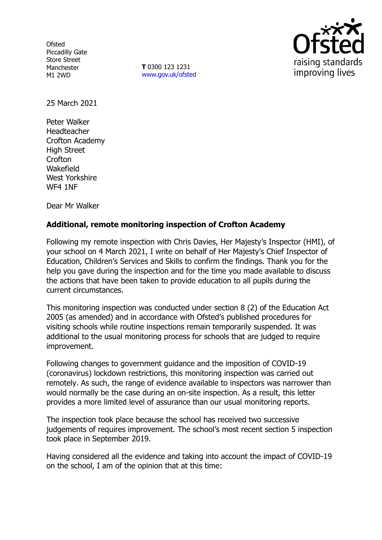**Ofsted** Piccadilly Gate Store Street Manchester M1 2WD

**T** 0300 123 1231 [www.gov.uk/ofsted](http://www.gov.uk/ofsted)



25 March 2021

Peter Walker Headteacher Crofton Academy High Street **Crofton** Wakefield West Yorkshire WF4 1NF

Dear Mr Walker

# **Additional, remote monitoring inspection of Crofton Academy**

Following my remote inspection with Chris Davies, Her Majesty's Inspector (HMI), of your school on 4 March 2021, I write on behalf of Her Majesty's Chief Inspector of Education, Children's Services and Skills to confirm the findings. Thank you for the help you gave during the inspection and for the time you made available to discuss the actions that have been taken to provide education to all pupils during the current circumstances.

This monitoring inspection was conducted under section 8 (2) of the Education Act 2005 (as amended) and in accordance with Ofsted's published procedures for visiting schools while routine inspections remain temporarily suspended. It was additional to the usual monitoring process for schools that are judged to require improvement.

Following changes to government guidance and the imposition of COVID-19 (coronavirus) lockdown restrictions, this monitoring inspection was carried out remotely. As such, the range of evidence available to inspectors was narrower than would normally be the case during an on-site inspection. As a result, this letter provides a more limited level of assurance than our usual monitoring reports.

The inspection took place because the school has received two successive judgements of requires improvement. The school's most recent section 5 inspection took place in September 2019.

Having considered all the evidence and taking into account the impact of COVID-19 on the school, I am of the opinion that at this time: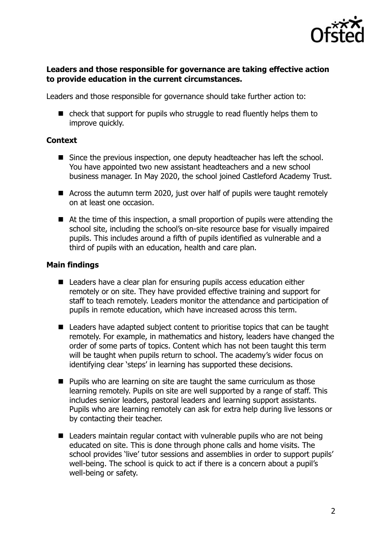

### **Leaders and those responsible for governance are taking effective action to provide education in the current circumstances.**

Leaders and those responsible for governance should take further action to:

■ check that support for pupils who struggle to read fluently helps them to improve quickly.

#### **Context**

- Since the previous inspection, one deputy headteacher has left the school. You have appointed two new assistant headteachers and a new school business manager. In May 2020, the school joined Castleford Academy Trust.
- Across the autumn term 2020, just over half of pupils were taught remotely on at least one occasion.
- At the time of this inspection, a small proportion of pupils were attending the school site, including the school's on-site resource base for visually impaired pupils. This includes around a fifth of pupils identified as vulnerable and a third of pupils with an education, health and care plan.

#### **Main findings**

- Leaders have a clear plan for ensuring pupils access education either remotely or on site. They have provided effective training and support for staff to teach remotely. Leaders monitor the attendance and participation of pupils in remote education, which have increased across this term.
- Leaders have adapted subject content to prioritise topics that can be taught remotely. For example, in mathematics and history, leaders have changed the order of some parts of topics. Content which has not been taught this term will be taught when pupils return to school. The academy's wider focus on identifying clear 'steps' in learning has supported these decisions.
- $\blacksquare$  Pupils who are learning on site are taught the same curriculum as those learning remotely. Pupils on site are well supported by a range of staff. This includes senior leaders, pastoral leaders and learning support assistants. Pupils who are learning remotely can ask for extra help during live lessons or by contacting their teacher.
- Leaders maintain regular contact with vulnerable pupils who are not being educated on site. This is done through phone calls and home visits. The school provides 'live' tutor sessions and assemblies in order to support pupils' well-being. The school is quick to act if there is a concern about a pupil's well-being or safety.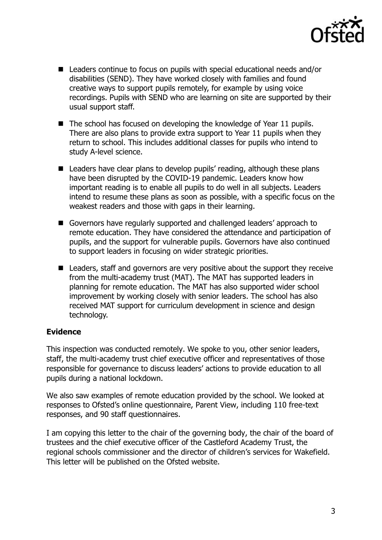

- Leaders continue to focus on pupils with special educational needs and/or disabilities (SEND). They have worked closely with families and found creative ways to support pupils remotely, for example by using voice recordings. Pupils with SEND who are learning on site are supported by their usual support staff.
- The school has focused on developing the knowledge of Year 11 pupils. There are also plans to provide extra support to Year 11 pupils when they return to school. This includes additional classes for pupils who intend to study A-level science.
- Leaders have clear plans to develop pupils' reading, although these plans have been disrupted by the COVID-19 pandemic. Leaders know how important reading is to enable all pupils to do well in all subjects. Leaders intend to resume these plans as soon as possible, with a specific focus on the weakest readers and those with gaps in their learning.
- Governors have regularly supported and challenged leaders' approach to remote education. They have considered the attendance and participation of pupils, and the support for vulnerable pupils. Governors have also continued to support leaders in focusing on wider strategic priorities.
- Leaders, staff and governors are very positive about the support they receive from the multi-academy trust (MAT). The MAT has supported leaders in planning for remote education. The MAT has also supported wider school improvement by working closely with senior leaders. The school has also received MAT support for curriculum development in science and design technology.

# **Evidence**

This inspection was conducted remotely. We spoke to you, other senior leaders, staff, the multi-academy trust chief executive officer and representatives of those responsible for governance to discuss leaders' actions to provide education to all pupils during a national lockdown.

We also saw examples of remote education provided by the school. We looked at responses to Ofsted's online questionnaire, Parent View, including 110 free-text responses, and 90 staff questionnaires.

I am copying this letter to the chair of the governing body, the chair of the board of trustees and the chief executive officer of the Castleford Academy Trust, the regional schools commissioner and the director of children's services for Wakefield. This letter will be published on the Ofsted website.